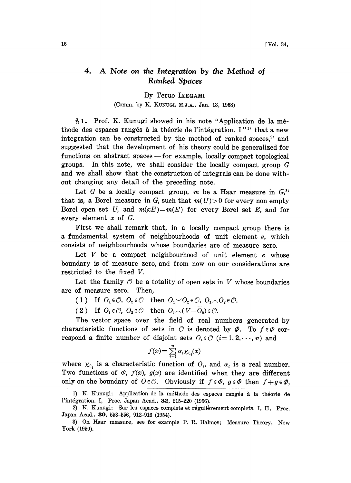## 4. A Note on the Integration by the Method of Ranked Spaces

## By Teruo IKEGAMI

## (Comm. by K. KUNUGI, M.J.A., Jan. 13, 1958)

 $\S 1.$  Prof. K. Kunugi showed in his note "Application de la méthode des espaces rangés à la théorie de l'intégration. I"<sup>1</sup> that a new integration can be constructed by the method of ranked spaces, $2$  and suggested that the development of his theory could be generalized for functions on abstract spaces—for example, locally compact topological groups. In this note, we shall consider the locally compact group G and we shall show that the construction of integrals can be done without changing any detail of the preceding note.

Let G be a locally compact group, m be a Haar measure in  $G<sub>i</sub>$ <sup>3</sup> that is, a Borel measure in G, such that  $m(U) > 0$  for every non empty Borel open set U, and  $m(xE)=m(E)$  for every Borel set E, and for every element  $x$  of  $G$ .

First we shall remark that, in a locally compact group there is a fundamental system of neighbourhoods of unit element e, which consists of neighbourhoods whose boundaries are of measure zero.

Let  $V$  be a compact neighbourhood of unit element  $e$  whose boundary is of measure zero, and from now on our considerations are restricted to the fixed V.

Let the family  $\mathcal O$  be a totality of open sets in  $V$  whose boundaries are of measure zero. Then,

(1) If  $O_1 \in \mathcal{O}$ ,  $O_2 \in \mathcal{O}$  then  $O_1 \setminus O_2 \in \mathcal{O}$ ,  $O_1 \setminus O_2 \in \mathcal{O}$ .

(2) If  $O_1 \in \mathcal{O}$ ,  $O_2 \in \mathcal{O}$  then  $O_1 \cap (V - \overline{O}_2) \in \mathcal{O}$ .

The vector space over the field of real numbers generated by characteristic functions of sets in  $\mathcal O$  is denoted by  $\varPhi$ . To  $f \in \varPhi$  correspond a finite number of disjoint sets  $O_i \in \mathcal{O}$   $(i=1, 2, \dots, n)$  and

$$
f(x) = \sum_{i=1}^{n} \alpha_i \chi_{0_i}(x)
$$

where  $\chi_{0_i}$  is a characteristic function of  $O_i$ , and  $\alpha_i$  is a real number. Two functions of  $\varPhi$ ,  $f(x)$ ,  $g(x)$  are identified when they are different only on the boundary of  $O \in \mathcal{O}$ . Obviously if  $f \in \varPhi$ ,  $g \in \varPhi$  then  $f + g \in \varPhi$ ,

<sup>1)</sup> K. Kunugi: Application de la méthode des espaces rangés à la théorie de l'intégration. I, Proc. Japan Acad., 32, 215-220 (1956).

<sup>2)</sup> K. Kunugi: Sur les espaces complets et régulièrement complets. I, II, Proc. Japan Acad., 30, 553-556, 912-916 (1954).

<sup>3)</sup> On Haar measure, see for example P. R. Halmos; Measure Theory, New York (1950).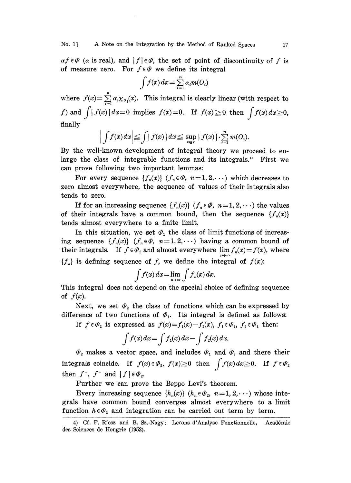$\alpha f \in \Phi$  ( $\alpha$  is real), and  $|f| \in \Phi$ , the set of point of discontinuity of f is of measure zero. For  $f \in \varPhi$  we define its integral

$$
\int f(x) dx = \sum_{i=1}^n \alpha_i m(O_i)
$$

where  $f(x) = \sum_{i=1}^{\infty} \alpha_i \chi_{0_i}(x)$ . This integral is clearly linear (with respect to f) and  $\int |f(x)| dx=0$  implies  $f(x)=0$ . If  $f(x) \ge 0$  then  $\int f(x) dx \ge 0$ , finally

$$
\left| \int f(x) dx \right| \leq \int |f(x)| dx \leq \sup_{x \in V} |f(x)| \cdot \sum_{i=1}^{n} m(O_i).
$$

By the well-known development of integral theory we proceed to enlarge the class of integrable functions and its integrals.<sup>4</sup> First we can prove following two important lemmas:

For every sequence  $\{f_n(x)\}\ (f_n \in \varPhi, n=1, 2, \cdots)$  which decreases to zero almost everywhere, the sequence of values of their integrals also tends to zero.

If for an increasing sequence  $\{f_n(x)\}\ (f_n \in \varPhi, n=1, 2, \cdots)$  the values of their integrals have a common bound, then the sequence  $\{f_n(x)\}$ tends almost everywhere to a finite limit.

In this situation, we set  $\varPhi_1$  the class of limit functions of increasing sequence  $\{f_n(x)\}\ (f_n \in \varPhi, \ n=1, 2, \cdots)$  having a common bound of their integrals. If  $f \in \Phi_1$  and almost everywhere  $\lim f_n(x) = f(x)$ , where  ${f<sub>n</sub>}$  is defining sequence of f, we define the integral of  $f(x)$ :

$$
\int f(x) dx = \lim_{n \to \infty} \int f_n(x) dx.
$$

This integral does not depend on the special choice of defining sequence of  $f(x)$ .

Next, we set  $\varPhi_2$  the class of functions which can be expressed by difference of two functions of  $\Phi_1$ . Its integral is defined as follows:

If  $f \in \varPhi_2$  is expressed as  $f(x)=f_1(x)-f_2(x)$ ,  $f_1 \in \varPhi_1$ ,  $f_2 \in \varPhi_1$  then:

$$
\int f(x) dx = \int f_1(x) dx - \int f_2(x) dx.
$$

 $\varPhi_2$  makes a vector space, and includes  $\varPhi_1$  and  $\varPhi$ , and there their integrals coincide. If  $f(x) \in \mathcal{D}_2$ ,  $f(x) \ge 0$  then  $\int f(x) dx \ge 0$ . If  $f \in \mathcal{D}_2$ then  $f^*$ ,  $f^-$  and  $|f| \in \varPhi_2$ .

Further we can prove the Beppo Levi's theorem.

Every increasing sequence  $\{h_n(x)\}\ (h_n \in \varPhi_2, \ n = 1, 2, \cdots)$  whose integrals have common bound converges almost everywhere to a limit function  $h \in \varPhi_2$  and integration can be carried out term by term.

<sup>4)</sup> Cf. F. Riesz and B. Sz.-Nagy: Lecons d'Analyse Fonctionnelle, Académie des Sciences de Hongrie (1952).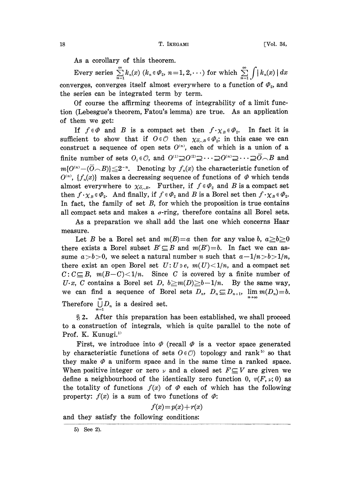As a corollary of this theorem.

Every series  $\sum_{n=1}^{\infty} k_n(x)$   $(k_n \in \Phi_2, n=1, 2, \cdots)$  for which  $\sum_{n=1}^{\infty} \int |k_n(x)| dx$ converges, converges itself almost everywhere to a function of  $\varPhi$ <sub>2</sub>, and the series can be integrated term by term.

Of course the affirming theorems of integrability of a limit function (Lebesgue's theorem, Fatou's lemma) are true. As an application of them we get:

If  $f \in \varPhi$  and B is a compact set then  $f \cdot \chi_B \in \varPhi_2$ . In fact it is sufficient to show that if  $0 \in \mathcal{O}$  then  $\chi_{\overline{\mathcal{O}}_C B} \in \varPhi_2$ ; in this case we can construct a sequence of open sets  $O^{(n)}$ , each of which is a union of a finite number of sets  $O_i \in \mathcal{O}$ , and  $O^{(1)} \supseteq O^{(2)} \supseteq \cdots \supseteq O^{(n)} \supseteq \cdots \supseteq \overline{O} \cap B$  and  $m\{O^{(n)}-(\overline{O}\cap B)\}\leq 2^{-n}$ . Denoting by  $f_n(x)$  the characteristic function of  $O^{(n)}$ ,  $\{f_n(x)\}\$  makes a decreasing sequence of functions of  $\phi$  which tends almost everywhere to  $\chi_{\overline{\mathcal{O}}_C,B}$ . Further, if  $f \in \mathcal{O}_2$  and B is a compact set then  $f \cdot \chi_B \in \varPhi_2$ . And finally, if  $f \in \varPhi_2$  and B is a Borel set then  $f \cdot \chi_B \in \varPhi_2$ . In fact, the family of set  $B$ , for which the proposition is true contains all compact sets and makes a  $\sigma$ -ring, therefore contains all Borel sets.

As a preparation we shall add the last one which concerns Haar measure.

Let B be a Borel set and  $m(B)=a$  then for any value b,  $a\geq b\geq 0$ there exists a Borel subset  $B' \subseteq B$  and  $m(B')=b$ . In fact we can assume  $a > b > 0$ , we select a natural number n such that  $a-1/n > b > 1/n$ , there exist an open Borel set  $U: U \ni e$ ,  $m(U) \leq 1/n$ , and a compact set  $C: C \subseteq B$ ,  $m(B-C) < 1/n$ . Since C is covered by a finite number of U.x, C contains a Borel set D,  $b \geq m(D) \geq b-1/n$ . By the same way, we can find a sequence of Borel sets  $D_n$ ,  $D_n \subseteq D_{n+1}$ ,  $\lim_{n\to\infty} m(D_n)=b$ . Therefore  $\bigcup_{n=1}^{\infty} D_n$  is a desired set.

2. After this preparation has been established, we shall proceed to a construction of integrals, which is quite parallel to the note of Prof. K. Kunugi.<sup>1)</sup>

First, we introduce into  $\varPhi$  (recall  $\varPhi$  is a vector space generated by characteristic functions of sets  $O(\epsilon \mathcal{O})$  topology and rank<sup>5</sup> so that they make  $\varPhi$  a uniform space and in the same time a ranked space. When positive integer or zero  $\nu$  and a closed set  $F \subseteq V$  are given we define a neighbourhood of the identically zero function 0,  $v(F, v; 0)$  as the totality of functions  $f(x)$  of  $\varPhi$  each of which has the following property:  $f(x)$  is a sum of two functions of  $\varPhi$ :

 $f(x) = p(x) + r(x)$ 

and they satisfy the following conditions:

5) See 2).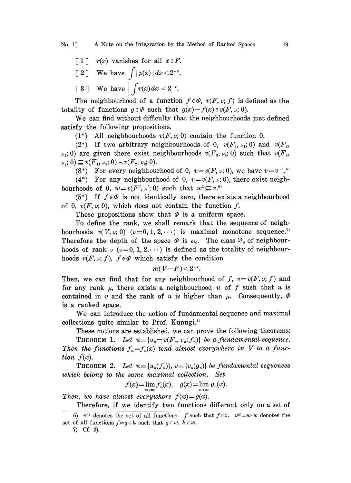$\lceil 1 \rceil$  r(x) vanishes for all  $x \in F$ . [2] We have  $\int |p(x)|dx < 2^{-\nu}$ .<br>[3] We have  $\int r(x)dx < 2^{-\nu}$ .

The neighbourhood of a function  $f \in \varPhi$ ,  $v(F, \nu; f)$  is defined as the totality of functions  $g \in \Phi$  such that  $g(x)-f(x)\in v(F, \nu; 0)$ .

We can find without difficulty that the neighbourhoods just defined satisfy the following propositions.

(1\*) All neighbourhoods  $v(F, \nu; 0)$  contain the function 0.

(2\*) If two arbitrary neighbourhoods of 0,  $v(F_1, \nu_1; 0)$  and  $v(F_2, \nu_2; 0)$  $\nu_2$ ; 0) are given there exist neighbourhoods  $v(F_s, \nu_s; 0)$  such that  $v(F_s, \nu_s; 0)$  $\nu_3$ ; 0)  $\subseteq v(F_1, \nu_1; 0) \sim v(F_2, \nu_2; 0).$ 

(3\*) For every neighbourhood of 0,  $v = v(F, v; 0)$ , we have  $v = v^{-1.6}$ 

(4\*) For any neighbourhood of 0,  $v=v(F, v; 0)$ , there exist neighbourhoods of 0,  $w=v(F', v'; 0)$  such that  $w^2 \subseteq v$ .

(5\*) If  $f \in \varPhi$  is not identically zero, there exists a neighbourhood of 0,  $v(F, \nu; 0)$ , which does not contain the function f.

These propositions show that  $\varPhi$  is a uniform space.

To define the rank, we shall remark that the sequence of neighbourhoods  $v(V, \nu; 0)$  ( $\nu = 0, 1, 2, \cdots$ ) is maximal monotone sequence.<sup>7</sup> Therefore the depth of the space  $\varPhi$  is  $\omega_0$ . The class  $\mathfrak{B}_{\nu}$  of neighbourhoods of rank  $\nu$  ( $\nu=0, 1, 2,...$ ) is defined as the totality of neighbourhoods  $v(F, \nu; f)$ ,  $f \in \Phi$  which satisfy the condition

$$
m(V-F){<}2^{-\nu}.
$$

Then, we can find that for any neighbourhood of f,  $v=v(F, \nu; f)$  and for any rank  $\mu$ , there exists a neighbourhood u of f such that u is contained in v and the rank of u is higher than  $\mu$ . Consequently,  $\varPhi$ is a ranked space.

We can introduce the notion of fundamental sequence and maximal collections quite similar to Prof. Kunugi.<sup>11</sup>

These notions are established, we can prove the following theorems: **THEOREM 1.** Let  $u=[u_n=v(F_n, v_n; f_n)]$  be a fundamental sequence. Then the functions  $f_n = f_n(x)$  tend almost everywhere in V to a function  $f(x)$ .

**THEOREM 2.** Let  $u = \{u_n(f_n)\}\$ ,  $v = \{v_n(g_n)\}\$  be fundamental sequences which belong to the same maximal collection. Set

$$
f(x) = \lim_{n \to \infty} f_n(x), \quad g(x) = \lim_{n \to \infty} g_n(x).
$$

Then, we have almost everywhere  $f(x)=g(x)$ . Therefore, if we identify two functions different only on a set of

<sup>6)</sup>  $v^{-1}$  denotes the set of all functions  $-f$  such that  $f \in v$ .  $w^2 = w \cdot w$  denotes the set of all functions  $f=g+h$  such that  $g\in w$ ,  $h\in w$ .

<sup>7)</sup> Cf. 2).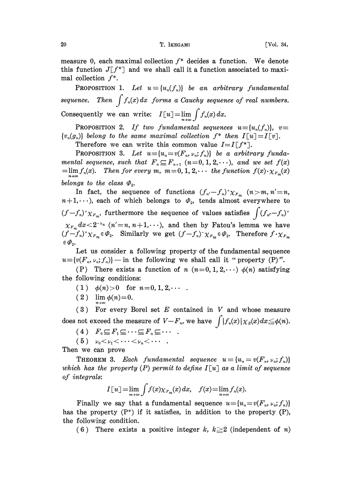measure 0, each maximal collection  $f^*$  decides a function. We denote this function  $J[f^*]$  and we shall call it a function associated to maximal collection  $f^*$ .

**PROPOSITION 1.** Let  $u \equiv \{u_n(f_n)\}\$  be an arbitrary fundamental  $\equiv$   $\{u_n(f_n)\}$  be an arbitrary fundamental<br>forms a Cauchu sequence of real numbers sequence. Then  $\int f_n(x) \, dx$  forms a Cauchy sequence of real numbers. Consequently we can write:  $I[u] = \lim_{n \to \infty} \int f_n(x) dx$ .

PROPOSITION 2. If two fundamental sequences  $u \equiv \{u_n(f_n)\}, v \equiv$  $\{v_n(g_n)\}\$ belong to the same maximal collection  $f^*$  then  $I[u]=I[v].$ 

Therefore we can write this common value  $I=I[f^*].$ 

**PROPOSITION 3.** Let  $u \equiv \{u_n=v(F_n, v_n; f_n)\}$  be a arbitrary fundamental sequence, such that  $F_n \subseteq F_{n+1}$   $(n=0,1,2,\dots)$ , and we set  $f(x)$  $=\lim f_n(x)$ . Then for every m,  $m=0, 1, 2, \cdots$  the function  $f(x) \cdot \chi_{F_m}(x)$ belongs to the class  $\varPhi$ <sub>2</sub>.

In fact, the sequence of functions  $(f_{n'}-f_n)^+\chi_{F_m}$   $(n>m,n'=n,$  $n+1,\dots$ , each of which belongs to  $\varPhi_2$ , tends almost everywhere to  $(f-f_n)^+\chi_{F_m}$ , furthermore the sequence of values satisfies  $\int (f_{n'}-f_n)^+$  $\chi_{F_m} dx < 2^{-\nu_n}$  ( $n' = n, n+1, \cdots$ ), and then by Fatou's lemma we have  $\chi_{F_m} dx < 2^{-\nu_n}$  ( $n' = n, n+1, \cdots$ ), and then by Fatou's lemma we have<br>  $(f - f_n)^{\dagger} \chi_{F_m} \in \varPhi_2$ . Similarly we get  $(f - f_n)^{\dagger} \chi_{F_m} \in \varPhi_2$ . Therefore  $f \cdot \chi_{F_m}$ 

Let us consider a following property of the fundamental sequence  $u=[v(F_n, \nu_n; f_n)]$  - in the following we shall call it "property (P)".

(P) There exists a function of n  $(n=0, 1, 2, \dots)$   $\phi(n)$  satisfying the. following conditions:

(1)  $\phi(n) > 0$  for  $n = 0, 1, 2, \cdots$ .

(2)  $\lim_{n \to \infty} \phi(n) = 0.$ 

 $(3)$  For every Borel set E contained in V and whose measure does not exceed the measure of  $V-F_n$ , we have  $\int |f_n(x)| \chi_E(x) dx \leq \phi(n)$ .

(4)  $F_0 \subseteq F_1 \subseteq \cdots \subseteq F_n \subseteq \cdots$ .

(5)  $\nu_0 < \nu_1 < \cdots < \nu_n < \cdots$ 

Then we can prove

THEOREM 3. Each fundamental sequence  $u \equiv \{u_n = v(F_n, v_n; f_n)\}$ which has the property (P) permit to define  $I[u]$  as a limit of sequence of integrals:

$$
I[u] = \lim_{m \to \infty} \int f(x) \chi_{F_m}(x) dx, \quad f(x) = \lim_{n \to \infty} f_n(x).
$$

Finally we say that a fundamental sequence  $u = {u_x = v(F_n, \nu_n; f_n)}$ has the property  $(P^*)$  if it satisfies, in addition to the property  $(P)$ , the following condition.

(6) There exists a positive integer k,  $k \geq 2$  (independent of n)